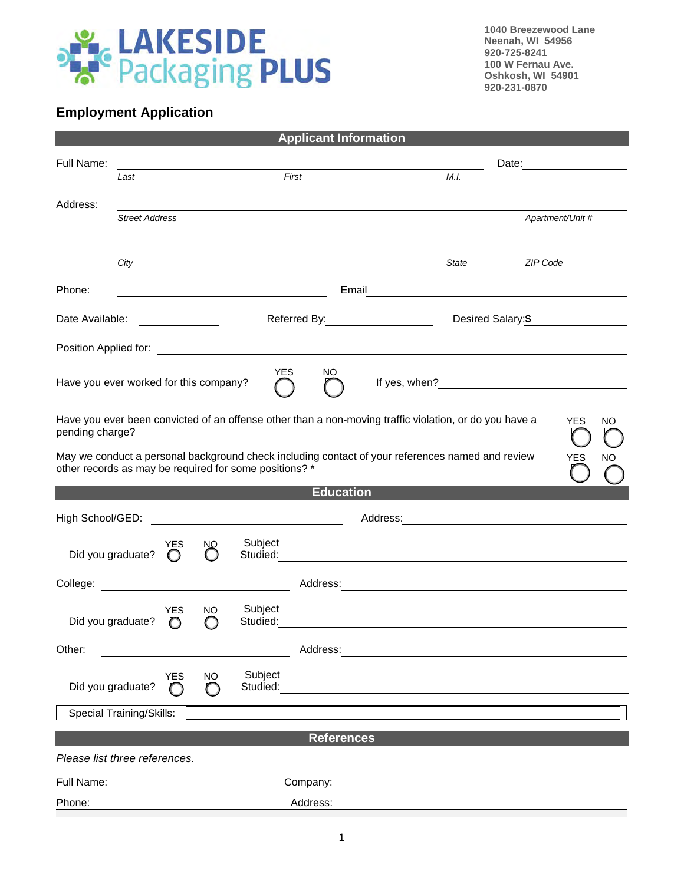

**1040 Breezewood Lane Neenah, WI 54956 920-725-8241 100 W Fernau Ave. Oshkosh, WI 54901 920-231-0870**

## **Employment Application**

|                                                                                                                                                                                                                                                                                                                      |                                 |                       |                        |                                                        | <b>Applicant Information</b> |  |                                                                                                  |                    |                  |    |  |
|----------------------------------------------------------------------------------------------------------------------------------------------------------------------------------------------------------------------------------------------------------------------------------------------------------------------|---------------------------------|-----------------------|------------------------|--------------------------------------------------------|------------------------------|--|--------------------------------------------------------------------------------------------------|--------------------|------------------|----|--|
| Full Name:                                                                                                                                                                                                                                                                                                           |                                 |                       |                        |                                                        |                              |  |                                                                                                  |                    |                  |    |  |
|                                                                                                                                                                                                                                                                                                                      | Last                            |                       |                        |                                                        | First                        |  | M.I.                                                                                             |                    |                  |    |  |
| Address:                                                                                                                                                                                                                                                                                                             | <b>Street Address</b>           |                       |                        |                                                        |                              |  |                                                                                                  |                    | Apartment/Unit # |    |  |
|                                                                                                                                                                                                                                                                                                                      |                                 |                       |                        |                                                        |                              |  |                                                                                                  |                    |                  |    |  |
|                                                                                                                                                                                                                                                                                                                      | City                            |                       |                        |                                                        |                              |  | State                                                                                            | ZIP Code           |                  |    |  |
| Phone:                                                                                                                                                                                                                                                                                                               |                                 |                       |                        | <u> 1989 - Johann Barn, fransk politik (d. 1989)</u>   |                              |  | Email <u>__________________________</u>                                                          |                    |                  |    |  |
| Date Available:                                                                                                                                                                                                                                                                                                      |                                 |                       |                        |                                                        | Referred By: Network By:     |  |                                                                                                  | Desired Salary: \$ |                  |    |  |
|                                                                                                                                                                                                                                                                                                                      |                                 |                       |                        |                                                        |                              |  |                                                                                                  |                    |                  |    |  |
| Position Applied for: <u>example and the set of the set of the set of the set of the set of the set of the set of the set of the set of the set of the set of the set of the set of the set of the set of the set of the set of </u><br><b>YES</b><br>NO.<br>Have you ever worked for this company?<br>If yes, when? |                                 |                       |                        |                                                        |                              |  |                                                                                                  |                    |                  |    |  |
| Have you ever been convicted of an offense other than a non-moving traffic violation, or do you have a<br><b>YES</b><br>pending charge?                                                                                                                                                                              |                                 |                       |                        |                                                        |                              |  |                                                                                                  |                    | NO.              |    |  |
|                                                                                                                                                                                                                                                                                                                      |                                 |                       |                        | other records as may be required for some positions? * |                              |  | May we conduct a personal background check including contact of your references named and review |                    | YES              | NΟ |  |
|                                                                                                                                                                                                                                                                                                                      |                                 |                       |                        |                                                        | <b>Education</b>             |  |                                                                                                  |                    |                  |    |  |
|                                                                                                                                                                                                                                                                                                                      |                                 |                       |                        |                                                        |                              |  |                                                                                                  |                    |                  |    |  |
|                                                                                                                                                                                                                                                                                                                      | Did you graduate?               | YES<br>$\bigcirc$     | $\infty$               | Subject                                                |                              |  |                                                                                                  |                    |                  |    |  |
|                                                                                                                                                                                                                                                                                                                      |                                 |                       |                        |                                                        |                              |  |                                                                                                  |                    |                  |    |  |
|                                                                                                                                                                                                                                                                                                                      | Did you graduate?               | <b>YES</b><br>$\circ$ | NO.<br>∩               | Subject<br>Studied:                                    |                              |  |                                                                                                  |                    |                  |    |  |
| Other:                                                                                                                                                                                                                                                                                                               |                                 |                       |                        |                                                        | Address:                     |  | <u> 1980 - John Stein, Amerikaansk politiker (</u>                                               |                    |                  |    |  |
|                                                                                                                                                                                                                                                                                                                      | Did you graduate?               | <b>YES</b><br>∩       | <b>NO</b><br>$\bigcap$ | Subject<br>Studied:                                    |                              |  |                                                                                                  |                    |                  |    |  |
|                                                                                                                                                                                                                                                                                                                      | <b>Special Training/Skills:</b> |                       |                        |                                                        |                              |  |                                                                                                  |                    |                  |    |  |
|                                                                                                                                                                                                                                                                                                                      |                                 |                       |                        |                                                        | <b>References</b>            |  |                                                                                                  |                    |                  |    |  |
| Please list three references.                                                                                                                                                                                                                                                                                        |                                 |                       |                        |                                                        |                              |  |                                                                                                  |                    |                  |    |  |
|                                                                                                                                                                                                                                                                                                                      | Full Name:                      |                       |                        |                                                        |                              |  |                                                                                                  |                    |                  |    |  |
|                                                                                                                                                                                                                                                                                                                      |                                 |                       |                        |                                                        |                              |  | Company: <u>company:</u>                                                                         |                    |                  |    |  |